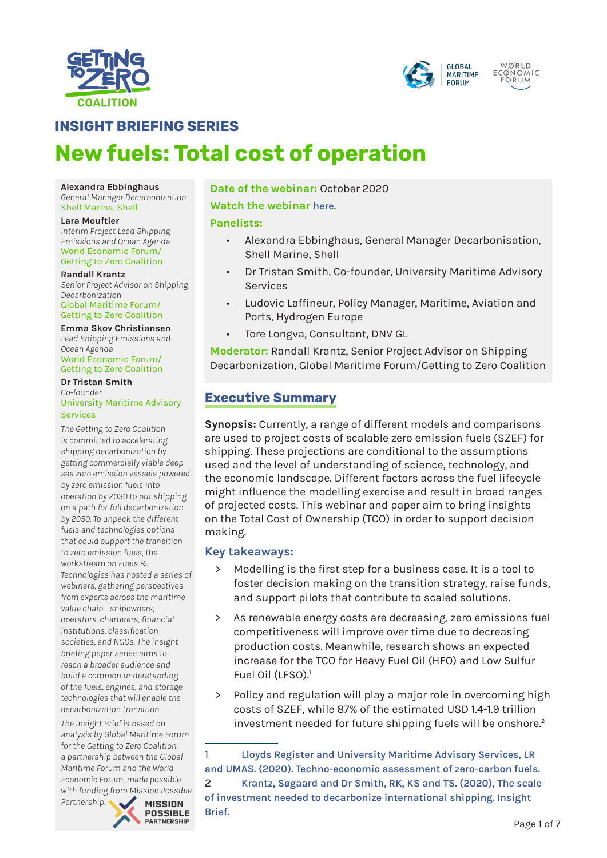



# **INSIGHT BRIEFING SERIES**

# **New fuels: Total cost of operation**

#### **Alexandra Ebbinghaus**

*General Manager Decarbonisation* Shell Marine, Shell

#### **Lara Mouftier**

*Interim Project Lead Shipping Emissions and Ocean Agenda* World Economic Forum/ Getting to Zero Coalition

#### **Randall Krantz**

*Senior Project Advisor on Shipping Decarbonization* Global Maritime Forum/ Getting to Zero Coalition

### **Emma Skov Christiansen** *Lead Shipping Emissions and*

*Ocean Agenda* World Economic Forum/ Getting to Zero Coalition

#### **Dr Tristan Smith** *Co-founder* University Maritime Advisory Services

*The Getting to Zero Coalition is committed to accelerating shipping decarbonization by getting commercially viable deep sea zero emission vessels powered by zero emission fuels into operation by 2030 to put shipping on a path for full decarbonization by 2050. To unpack the different fuels and technologies options that could support the transition to zero emission fuels, the workstream on Fuels & Technologies has hosted a series of webinars, gathering perspectives from experts across the maritime value chain - shipowners, operators, charterers, financial institutions, classification societies, and NGOs. The insight briefing paper series aims to reach a broader audience and build a common understanding of the fuels, engines, and storage technologies that will enable the decarbonization transition.*

*The Insight Brief is based on analysis by Global Maritime Forum for the Getting to Zero Coalition, a partnership between the Global Maritime Forum and the World Economic Forum, made possible with funding from Mission Possible* 

*Partnership.* 

**MISSION POSSIBLE PARTNERSHIP** 

# **Date of the webinar:** October 2020 **Watch the webinar [here](https://www.youtube.com/watch?v=LjfmG-_tfG0&list=PLhMpuiGhAMb7yhVYC0b5mJhkJqxr4TC-Q&index=9).**

## **Panelists:**

- Alexandra Ebbinghaus, General Manager Decarbonisation, Shell Marine, Shell
- Dr Tristan Smith, Co-founder, University Maritime Advisory Services
- Ludovic Laffineur, Policy Manager, Maritime, Aviation and Ports, Hydrogen Europe
- Tore Longva, Consultant, DNV GL

**Moderator:** Randall Krantz, Senior Project Advisor on Shipping Decarbonization, Global Maritime Forum/Getting to Zero Coalition

# **Executive Summary**

**Synopsis:** Currently, a range of different models and comparisons are used to project costs of scalable zero emission fuels (SZEF) for shipping. These projections are conditional to the assumptions used and the level of understanding of science, technology, and the economic landscape. Different factors across the fuel lifecycle might influence the modelling exercise and result in broad ranges of projected costs. This webinar and paper aim to bring insights on the Total Cost of Ownership (TCO) in order to support decision making.

## **Key takeaways:**

- Modelling is the first step for a business case. It is a tool to foster decision making on the transition strategy, raise funds, and support pilots that contribute to scaled solutions.
- > As renewable energy costs are decreasing, zero emissions fuel competitiveness will improve over time due to decreasing production costs. Meanwhile, research shows an expected increase for the TCO for Heavy Fuel Oil (HFO) and Low Sulfur Fuel Oil (LFSO).<sup>1</sup>
- Policy and regulation will play a major role in overcoming high costs of SZEF, while 87% of the estimated USD 1.4-1.9 trillion investment needed for future shipping fuels will be onshore.<sup>2</sup>

**[Brief.](https://www.globalmaritimeforum.org/content/2020/01/Getting-to-Zero-Coalition_Insight-brief_Scale-of-investment.pdf)**

<sup>1</sup> **[Lloyds Register and University Maritime Advisory Services, LR](https://www.lr.org/en/insights/global-marine-trends-2030/techno-economic-assessment-of-zero-carbon-fuels/)  [and UMAS. \(2020\). Techno-economic assessment of zero-carbon fuels.](https://www.lr.org/en/insights/global-marine-trends-2030/techno-economic-assessment-of-zero-carbon-fuels/)** 2 **[Krantz, Søgaard and Dr Smith, RK, KS and TS. \(2020\), The scale](https://www.globalmaritimeforum.org/content/2020/01/Getting-to-Zero-Coalition_Insight-brief_Scale-of-investment.pdf)  [of investment needed to decarbonize international shipping. Insight](https://www.globalmaritimeforum.org/content/2020/01/Getting-to-Zero-Coalition_Insight-brief_Scale-of-investment.pdf)**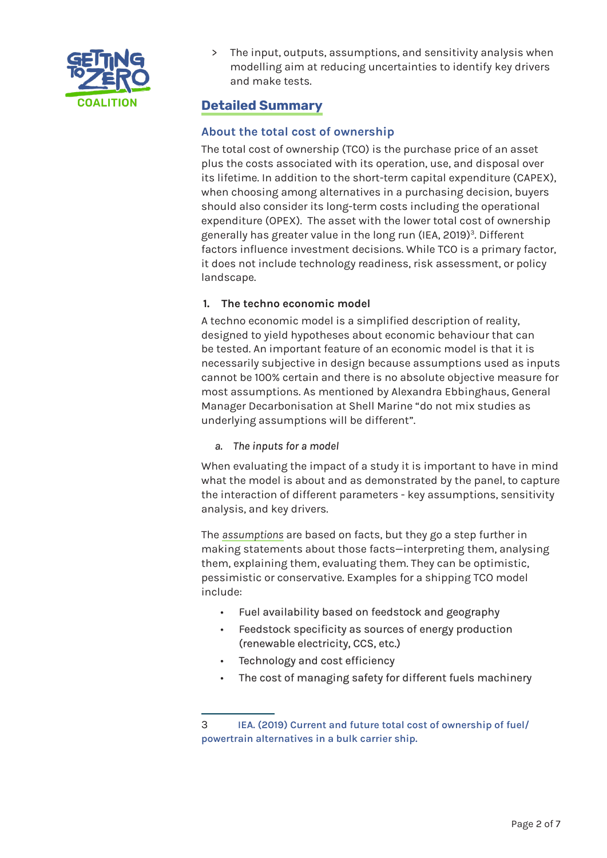

> The input, outputs, assumptions, and sensitivity analysis when modelling aim at reducing uncertainties to identify key drivers and make tests.

# **Detailed Summary**

# **About the total cost of ownership**

The total cost of ownership (TCO) is the purchase price of an asset plus the costs associated with its operation, use, and disposal over its lifetime. In addition to the short-term capital expenditure (CAPEX), when choosing among alternatives in a purchasing decision, buyers should also consider its long-term costs including the operational expenditure (OPEX). The asset with the lower total cost of ownership generally has greater value in the long run (IEA, 2019)<sup>3</sup>. Different factors influence investment decisions. While TCO is a primary factor, it does not include technology readiness, risk assessment, or policy landscape.

# **1. The techno economic model**

A techno economic model is a simplified description of reality, designed to yield hypotheses about economic behaviour that can be tested. An important feature of an economic model is that it is necessarily subjective in design because assumptions used as inputs cannot be 100% certain and there is no absolute objective measure for most assumptions. As mentioned by Alexandra Ebbinghaus, General Manager Decarbonisation at Shell Marine "do not mix studies as underlying assumptions will be different".

## *a. The inputs for a model*

When evaluating the impact of a study it is important to have in mind what the model is about and as demonstrated by the panel, to capture the interaction of different parameters - key assumptions, sensitivity analysis, and key drivers.

The *assumptions* are based on facts, but they go a step further in making statements about those facts—interpreting them, analysing them, explaining them, evaluating them. They can be optimistic, pessimistic or conservative. Examples for a shipping TCO model include:

- Fuel availability based on feedstock and geography
- Feedstock specificity as sources of energy production (renewable electricity, CCS, etc.)
- Technology and cost efficiency
- The cost of managing safety for different fuels machinery

<sup>3</sup> **[IEA. \(2019\) Current and future total cost of ownership of fuel/](https://www.iea.org/data-and-statistics/charts/current-and-future-total-cost-of-ownership-of-fuel-powertrain-alternatives-in-a-bulk-carrier-ship) [powertrain alternatives in a bulk carrier ship.](https://www.iea.org/data-and-statistics/charts/current-and-future-total-cost-of-ownership-of-fuel-powertrain-alternatives-in-a-bulk-carrier-ship)**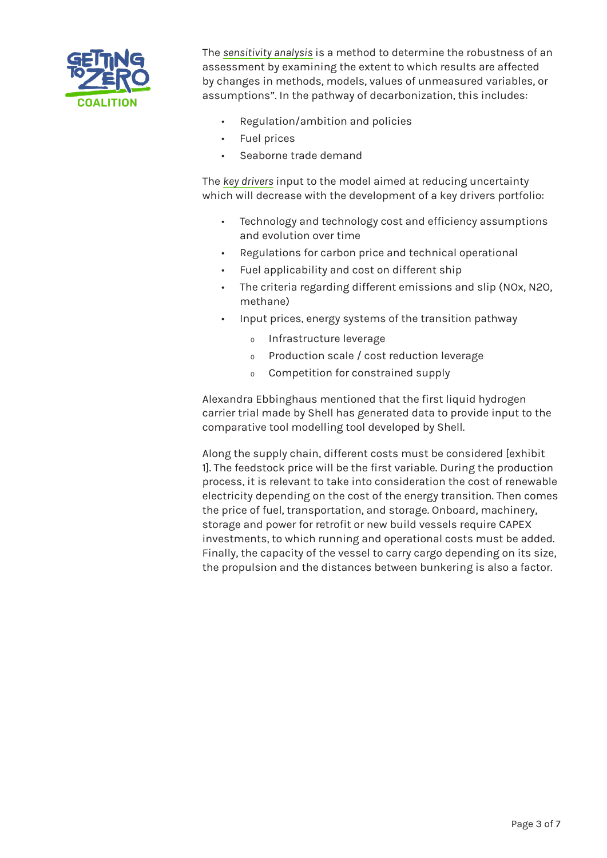

The *sensitivity analysis* is a method to determine the robustness of an assessment by examining the extent to which results are affected by changes in methods, models, values of unmeasured variables, or assumptions". In the pathway of decarbonization, this includes:

- Regulation/ambition and policies
- Fuel prices
- Seaborne trade demand

The *key drivers* input to the model aimed at reducing uncertainty which will decrease with the development of a key drivers portfolio:

- Technology and technology cost and efficiency assumptions and evolution over time
- Regulations for carbon price and technical operational
- Fuel applicability and cost on different ship
- The criteria regarding different emissions and slip (NOx, N2O, methane)
- Input prices, energy systems of the transition pathway
	- Ƹ Infrastructure leverage
	- Ƹ Production scale / cost reduction leverage
	- Ƹ Competition for constrained supply

Alexandra Ebbinghaus mentioned that the first liquid hydrogen carrier trial made by Shell has generated data to provide input to the comparative tool modelling tool developed by Shell.

Along the supply chain, different costs must be considered [exhibit 1]. The feedstock price will be the first variable. During the production process, it is relevant to take into consideration the cost of renewable electricity depending on the cost of the energy transition. Then comes the price of fuel, transportation, and storage. Onboard, machinery, storage and power for retrofit or new build vessels require CAPEX investments, to which running and operational costs must be added. Finally, the capacity of the vessel to carry cargo depending on its size, the propulsion and the distances between bunkering is also a factor.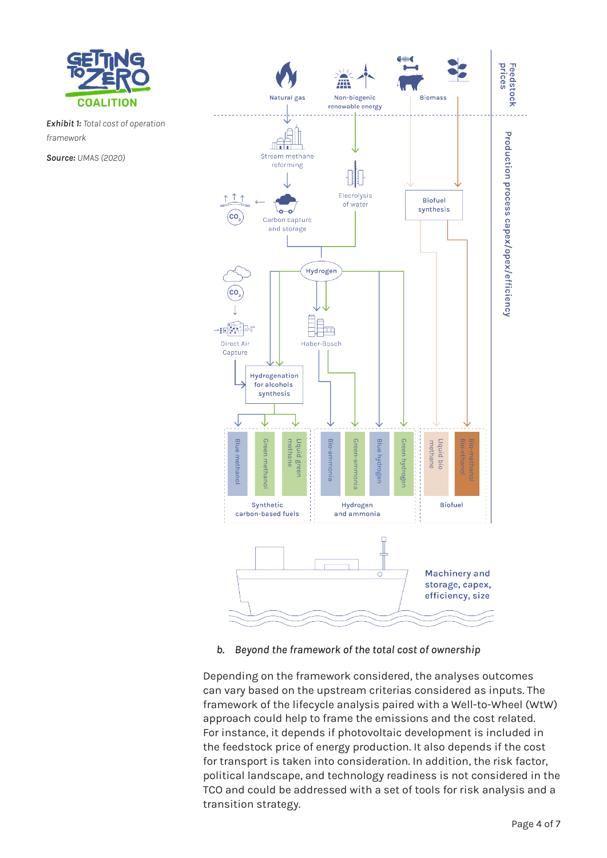

*Exhibit 1: Total cost of operation framework*

*Source: UMAS (2020)*



## *b. Beyond the framework of the total cost of ownership*

Depending on the framework considered, the analyses outcomes can vary based on the upstream criterias considered as inputs. The framework of the lifecycle analysis paired with a Well-to-Wheel (WtW) approach could help to frame the emissions and the cost related. For instance, it depends if photovoltaic development is included in the feedstock price of energy production. It also depends if the cost for transport is taken into consideration. In addition, the risk factor, political landscape, and technology readiness is not considered in the TCO and could be addressed with a set of tools for risk analysis and a transition strategy.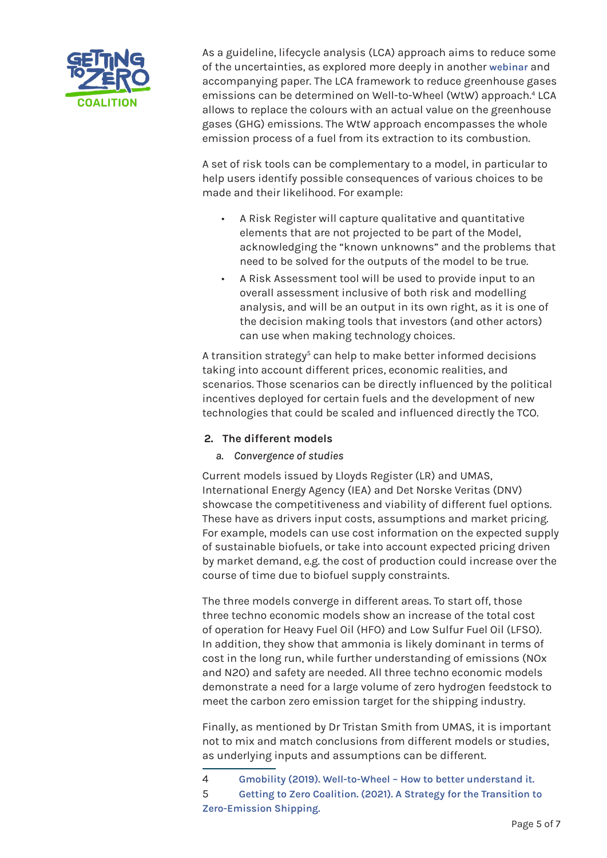

As a guideline, lifecycle analysis (LCA) approach aims to reduce some of the uncertainties, as explored more deeply in another **[webinar](https://www.youtube.com/watch?v=QeSwNdB8_VY)** and accompanying paper. The LCA framework to reduce greenhouse gases emissions can be determined on Well-to-Wheel (WtW) approach.<sup>4</sup> LCA allows to replace the colours with an actual value on the greenhouse gases (GHG) emissions. The WtW approach encompasses the whole emission process of a fuel from its extraction to its combustion.

A set of risk tools can be complementary to a model, in particular to help users identify possible consequences of various choices to be made and their likelihood. For example:

- A Risk Register will capture qualitative and quantitative elements that are not projected to be part of the Model, acknowledging the "known unknowns" and the problems that need to be solved for the outputs of the model to be true.
- A Risk Assessment tool will be used to provide input to an overall assessment inclusive of both risk and modelling analysis, and will be an output in its own right, as it is one of the decision making tools that investors (and other actors) can use when making technology choices.

A transition strategy<sup>5</sup> can help to make better informed decisions taking into account different prices, economic realities, and scenarios. Those scenarios can be directly influenced by the political incentives deployed for certain fuels and the development of new technologies that could be scaled and influenced directly the TCO.

## **2. The different models**

# *a. Convergence of studies*

Current models issued by Lloyds Register (LR) and UMAS, International Energy Agency (IEA) and Det Norske Veritas (DNV) showcase the competitiveness and viability of different fuel options. These have as drivers input costs, assumptions and market pricing. For example, models can use cost information on the expected supply of sustainable biofuels, or take into account expected pricing driven by market demand, e.g. the cost of production could increase over the course of time due to biofuel supply constraints.

The three models converge in different areas. To start off, those three techno economic models show an increase of the total cost of operation for Heavy Fuel Oil (HFO) and Low Sulfur Fuel Oil (LFSO). In addition, they show that ammonia is likely dominant in terms of cost in the long run, while further understanding of emissions (NOx and N2O) and safety are needed. All three techno economic models demonstrate a need for a large volume of zero hydrogen feedstock to meet the carbon zero emission target for the shipping industry.

Finally, as mentioned by Dr Tristan Smith from UMAS, it is important not to mix and match conclusions from different models or studies, as underlying inputs and assumptions can be different.

<sup>4</sup> **[Gmobility \(2019\). Well-to-Wheel – How to better understand it.](https://gmobility.eu/what-is-well-to-wheel/)**

<sup>5</sup> **[Getting to Zero Coalition. \(2021\). A Strategy for the Transition to](https://www3.weforum.org/docs/WEF_A%20Strategy_for_the_Transition_to_Zero_Emission_Shipping_2021.pdf)  [Zero-Emission Shipping.](https://www3.weforum.org/docs/WEF_A%20Strategy_for_the_Transition_to_Zero_Emission_Shipping_2021.pdf)**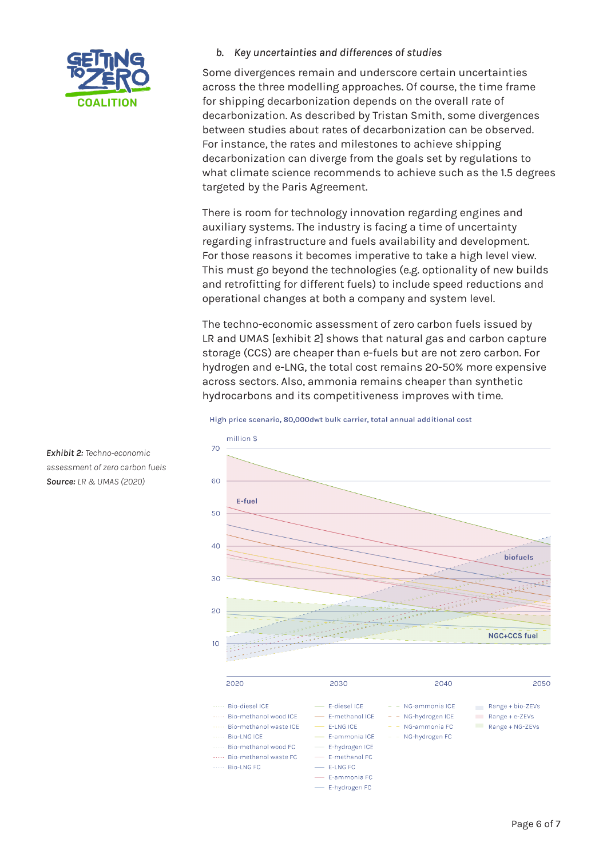

*b. Key uncertainties and differences of studies*

Some divergences remain and underscore certain uncertainties across the three modelling approaches. Of course, the time frame for shipping decarbonization depends on the overall rate of decarbonization. As described by Tristan Smith, some divergences between studies about rates of decarbonization can be observed. For instance, the rates and milestones to achieve shipping decarbonization can diverge from the goals set by regulations to what climate science recommends to achieve such as the 1.5 degrees targeted by the Paris Agreement.

There is room for technology innovation regarding engines and auxiliary systems. The industry is facing a time of uncertainty regarding infrastructure and fuels availability and development. For those reasons it becomes imperative to take a high level view. This must go beyond the technologies (e.g. optionality of new builds and retrofitting for different fuels) to include speed reductions and operational changes at both a company and system level.

The techno-economic assessment of zero carbon fuels issued by LR and UMAS [exhibit 2] shows that natural gas and carbon capture storage (CCS) are cheaper than e-fuels but are not zero carbon. For hydrogen and e-LNG, the total cost remains 20-50% more expensive across sectors. Also, ammonia remains cheaper than synthetic hydrocarbons and its competitiveness improves with time.

#### High price scenario, 80,000dwt bulk carrier, total annual additional cost



*Exhibit 2: Techno-economic assessment of zero carbon fuels Source: LR & UMAS (2020)*